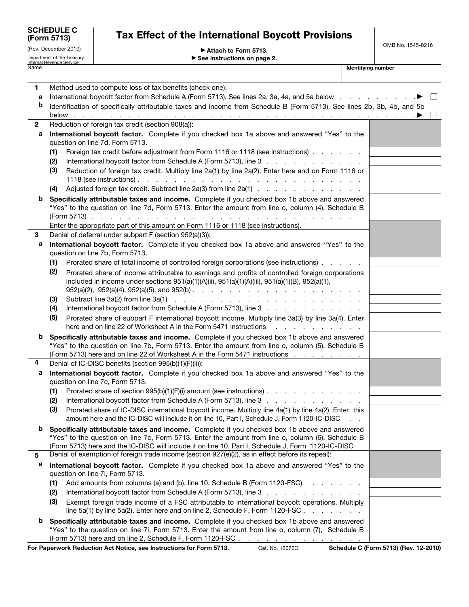| <b>SCHEDULE C</b><br>(Form 5713) |
|----------------------------------|
| (Rev. December 2010)             |

# Tax Effect of the International Boycott Provisions

OMB No. 1545-0216

| Attach to Form 5713. |  |
|----------------------|--|
|----------------------|--|

Department of the Treasury<br>Internal Revenue Service **Department of the Internal Revenue Service Concernsive Concernsive Concernsive Concern**<br>Name **Internal Revenue Service Concernsive Concernsive Concernsive Concernsive Co** ▶ See instructions on page 2.

| 1           | Method used to compute loss of tax benefits (check one):                                                                                                                                           |  |  |  |
|-------------|----------------------------------------------------------------------------------------------------------------------------------------------------------------------------------------------------|--|--|--|
| а           | International boycott factor from Schedule A (Form 5713). See lines 2a, 3a, 4a, and 5a below                                                                                                       |  |  |  |
| b           | Identification of specifically attributable taxes and income from Schedule B (Form 5713). See lines 2b, 3b, 4b, and 5b                                                                             |  |  |  |
|             |                                                                                                                                                                                                    |  |  |  |
| $\mathbf 2$ | Reduction of foreign tax credit (section 908(a)):                                                                                                                                                  |  |  |  |
| а           | International boycott factor. Complete if you checked box 1a above and answered "Yes" to the                                                                                                       |  |  |  |
|             | question on line 7d, Form 5713.                                                                                                                                                                    |  |  |  |
|             | Foreign tax credit before adjustment from Form 1116 or 1118 (see instructions)<br>(1)                                                                                                              |  |  |  |
|             | International boycott factor from Schedule A (Form 5713), line 3<br>(2)                                                                                                                            |  |  |  |
|             | (3)<br>Reduction of foreign tax credit. Multiply line 2a(1) by line 2a(2). Enter here and on Form 1116 or                                                                                          |  |  |  |
|             | Adjusted foreign tax credit. Subtract line 2a(3) from line 2a(1)<br>(4)                                                                                                                            |  |  |  |
| b           | Specifically attributable taxes and income. Complete if you checked box 1b above and answered<br>"Yes" to the question on line 7d, Form 5713. Enter the amount from line o, column (4), Schedule B |  |  |  |
|             | Enter the appropriate part of this amount on Form 1116 or 1118 (see instructions).                                                                                                                 |  |  |  |
| 3           | Denial of deferral under subpart F (section 952(a)(3)):                                                                                                                                            |  |  |  |
| а           | International boycott factor. Complete if you checked box 1a above and answered "Yes" to the<br>question on line 7b, Form 5713.                                                                    |  |  |  |
|             | Prorated share of total income of controlled foreign corporations (see instructions)<br>(1)                                                                                                        |  |  |  |
|             | (2)<br>Prorated share of income attributable to earnings and profits of controlled foreign corporations                                                                                            |  |  |  |
|             | included in income under sections $951(a)(1)(A)(ii)$ , $951(a)(1)(A)(iii)$ , $951(a)(1)(B)$ , $952(a)(1)$ ,                                                                                        |  |  |  |
|             | (3)                                                                                                                                                                                                |  |  |  |
|             | International boycott factor from Schedule A (Form 5713), line 3<br>(4)                                                                                                                            |  |  |  |
|             | (5)<br>Prorated share of subpart F international boycott income. Multiply line 3a(3) by line 3a(4). Enter                                                                                          |  |  |  |
|             | here and on line 22 of Worksheet A in the Form 5471 instructions<br>and a strategies of the state of the state of the state of the state of the state of the state of the state of                 |  |  |  |
| b           | Specifically attributable taxes and income. Complete if you checked box 1b above and answered                                                                                                      |  |  |  |
|             | "Yes" to the question on line 7b, Form 5713. Enter the amount from line o, column (5), Schedule B                                                                                                  |  |  |  |
| 4           | (Form 5713) here and on line 22 of Worksheet A in the Form 5471 instructions                                                                                                                       |  |  |  |
|             | Denial of IC-DISC benefits (section 995(b)(1)(F)(ii)):                                                                                                                                             |  |  |  |
|             | International boycott factor. Complete if you checked box 1a above and answered "Yes" to the<br>а<br>question on line 7c, Form 5713.                                                               |  |  |  |
|             | Prorated share of section 995(b)(1)(F)(i) amount (see instructions)                                                                                                                                |  |  |  |
|             | (1)<br>International boycott factor from Schedule A (Form 5713), line 3<br>(2)                                                                                                                     |  |  |  |
|             | (3)<br>Prorated share of IC-DISC international boycott income. Multiply line 4a(1) by line 4a(2). Enter this                                                                                       |  |  |  |
|             | amount here and the IC-DISC will include it on line 10, Part I, Schedule J, Form 1120-IC-DISC                                                                                                      |  |  |  |
|             | Specifically attributable taxes and income. Complete if you checked box 1b above and answered                                                                                                      |  |  |  |
|             | "Yes" to the question on line 7c, Form 5713. Enter the amount from line o, column (6), Schedule B                                                                                                  |  |  |  |
|             | (Form 5713) here and the IC-DISC will include it on line 10, Part I, Schedule J, Form 1120-IC-DISC                                                                                                 |  |  |  |
| 5           | Denial of exemption of foreign trade income (section 927(e)(2), as in effect before its repeal):                                                                                                   |  |  |  |
| a           | International boycott factor. Complete if you checked box 1a above and answered "Yes" to the                                                                                                       |  |  |  |
|             | question on line 7i, Form 5713.                                                                                                                                                                    |  |  |  |
|             | Add amounts from columns (a) and (b), line 10, Schedule B (Form 1120-FSC)<br>(1)                                                                                                                   |  |  |  |
|             | International boycott factor from Schedule A (Form 5713), line 3<br>(2)                                                                                                                            |  |  |  |
|             | (3)<br>Exempt foreign trade income of a FSC attributable to international boycott operations. Multiply                                                                                             |  |  |  |
|             | line 5a(1) by line 5a(2). Enter here and on line 2, Schedule F, Form 1120-FSC.<br>the contract of the contract of the                                                                              |  |  |  |
| b           | Specifically attributable taxes and income. Complete if you checked box 1b above and answered                                                                                                      |  |  |  |
|             | "Yes" to the question on line 7i, Form 5713. Enter the amount from line o, column (7), Schedule B                                                                                                  |  |  |  |
|             | (Form 5713) here and on line 2, Schedule F, Form 1120-FSC                                                                                                                                          |  |  |  |

For Paperwork Reduction Act Notice, see Instructions for Form 5713. Cat. No. 12070O Schedule C (Form 5713) (Rev. 12-2010)